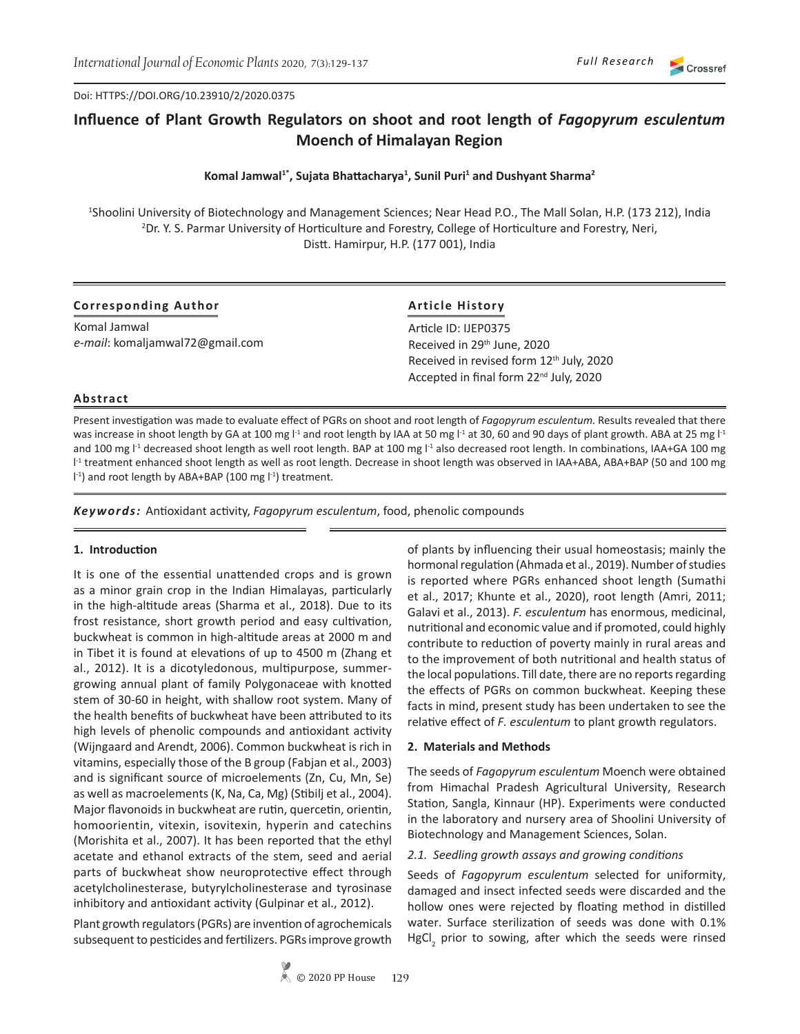Doi: HTTPS://DOI.ORG/10.23910/2/2020.0375

# **Influence of Plant Growth Regulators on shoot and root length of** *Fagopyrum esculentum*  **Moench of Himalayan Region**

# **Komal Jamwal1\*, Sujata Bhattacharya<sup>1</sup> , Sunil Puri<sup>1</sup> and Dushyant Sharma<sup>2</sup>**

1 Shoolini University of Biotechnology and Management Sciences; Near Head P.O., The Mall Solan, H.P. (173 212), India 2 Dr. Y. S. Parmar University of Horticulture and Forestry, College of Horticulture and Forestry, Neri, Distt. Hamirpur, H.P. (177 001), India

| <b>Corresponding Author</b>     | <b>Article History</b>                               |  |  |  |  |  |
|---------------------------------|------------------------------------------------------|--|--|--|--|--|
| Komal Jamwal                    | Article ID: IJEP0375                                 |  |  |  |  |  |
| e-mail: komaljamwal72@gmail.com | Received in 29 <sup>th</sup> June, 2020              |  |  |  |  |  |
|                                 | Received in revised form 12 <sup>th</sup> July, 2020 |  |  |  |  |  |
|                                 | Accepted in final form 22 <sup>nd</sup> July, 2020   |  |  |  |  |  |

# **Abstract**

Present investigation was made to evaluate effect of PGRs on shoot and root length of *Fagopyrum esculentum.* Results revealed that there was increase in shoot length by GA at 100 mg  $1<sup>1</sup>$  and root length by IAA at 50 mg  $1<sup>1</sup>$  at 30, 60 and 90 days of plant growth. ABA at 25 mg  $1<sup>1</sup>$ and 100 mg l<sup>-1</sup> decreased shoot length as well root length. BAP at 100 mg l<sup>-1</sup> also decreased root length. In combinations, IAA+GA 100 mg l -1 treatment enhanced shoot length as well as root length. Decrease in shoot length was observed in IAA+ABA, ABA+BAP (50 and 100 mg I<sup>-1</sup>) and root length by ABA+BAP (100 mg I<sup>-1</sup>) treatment.

*Keywords:* Antioxidant activity, *Fagopyrum esculentum*, food, phenolic compounds

# **1. Introduction**

It is one of the essential unattended crops and is grown as a minor grain crop in the Indian Himalayas, particularly in the high-altitude areas (Sharma et al., 2018). Due to its frost resistance, short growth period and easy cultivation, buckwheat is common in high-altitude areas at 2000 m and in Tibet it is found at elevations of up to 4500 m (Zhang et al., 2012). It is a dicotyledonous, multipurpose, summergrowing annual plant of family Polygonaceae with knotted stem of 30-60 in height, with shallow root system. Many of the health benefits of buckwheat have been attributed to its high levels of phenolic compounds and antioxidant activity (Wijngaard and Arendt, 2006). Common buckwheat is rich in vitamins, especially those of the B group (Fabjan et al., 2003) and is significant source of microelements (Zn, Cu, Mn, Se) as well as macroelements (K, Na, Ca, Mg) (Stibilj et al., 2004). Major flavonoids in buckwheat are rutin, quercetin, orientin, homoorientin, vitexin, isovitexin, hyperin and catechins (Morishita et al., 2007). It has been reported that the ethyl acetate and ethanol extracts of the stem, seed and aerial parts of buckwheat show neuroprotective effect through acetylcholinesterase, butyrylcholinesterase and tyrosinase inhibitory and antioxidant activity (Gulpinar et al., 2012).

Plant growth regulators (PGRs) are invention of agrochemicals subsequent to pesticides and fertilizers. PGRs improve growth of plants by influencing their usual homeostasis; mainly the hormonal regulation (Ahmada et al., 2019). Number of studies is reported where PGRs enhanced shoot length (Sumathi et al., 2017; Khunte et al., 2020), root length (Amri, 2011; Galavi et al., 2013). *F. esculentum* has enormous, medicinal, nutritional and economic value and if promoted, could highly contribute to reduction of poverty mainly in rural areas and to the improvement of both nutritional and health status of the local populations. Till date, there are no reports regarding the effects of PGRs on common buckwheat. Keeping these facts in mind, present study has been undertaken to see the relative effect of *F. esculentum* to plant growth regulators.

# **2. Materials and Methods**

The seeds of *Fagopyrum esculentum* Moench were obtained from Himachal Pradesh Agricultural University, Research Station, Sangla, Kinnaur (HP). Experiments were conducted in the laboratory and nursery area of Shoolini University of Biotechnology and Management Sciences, Solan.

# *2.1. Seedling growth assays and growing conditions*

Seeds of *Fagopyrum esculentum* selected for uniformity, damaged and insect infected seeds were discarded and the hollow ones were rejected by floating method in distilled water. Surface sterilization of seeds was done with 0.1% HgCl<sub>2</sub> prior to sowing, after which the seeds were rinsed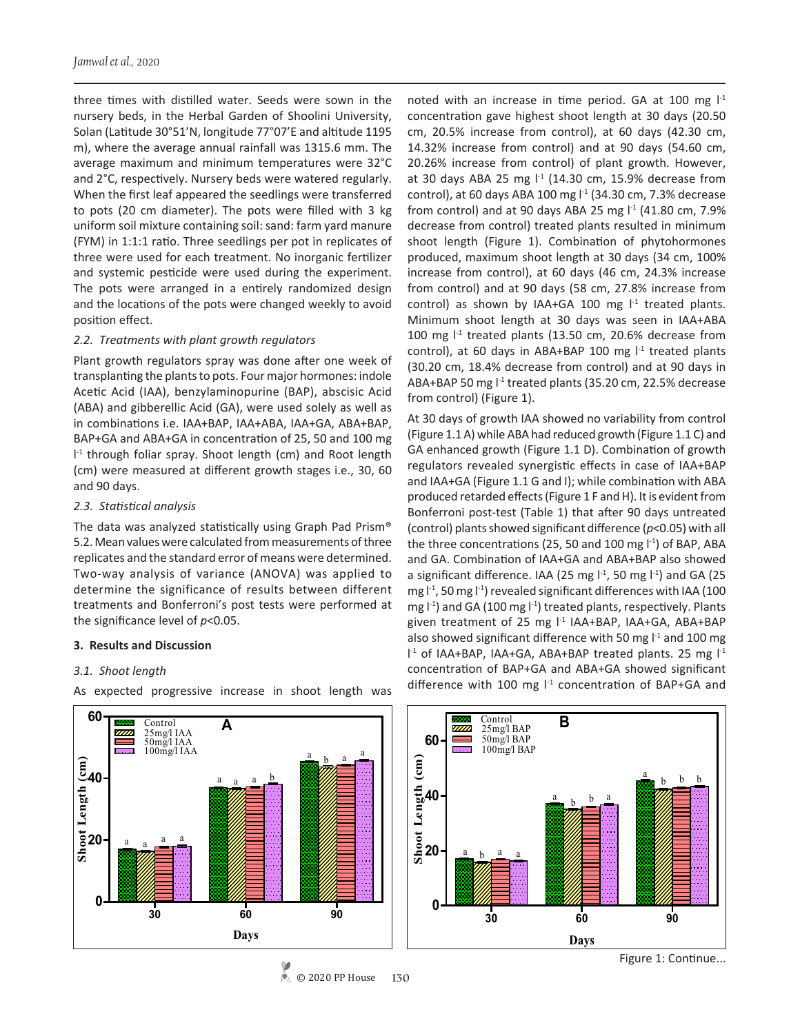three times with distilled water. Seeds were sown in the nursery beds, in the Herbal Garden of Shoolini University, Solan (Latitude 30°51'N, longitude 77°07'E and altitude 1195 m), where the average annual rainfall was 1315.6 mm. The average maximum and minimum temperatures were 32°C and 2°C, respectively. Nursery beds were watered regularly. When the first leaf appeared the seedlings were transferred to pots (20 cm diameter). The pots were filled with 3 kg uniform soil mixture containing soil: sand: farm yard manure (FYM) in 1:1:1 ratio. Three seedlings per pot in replicates of three were used for each treatment. No inorganic fertilizer and systemic pesticide were used during the experiment. The pots were arranged in a entirely randomized design and the locations of the pots were changed weekly to avoid position effect.

#### *2.2. Treatments with plant growth regulators*

Plant growth regulators spray was done after one week of transplanting the plants to pots. Four major hormones: indole Acetic Acid (IAA), benzylaminopurine (BAP), abscisic Acid (ABA) and gibberellic Acid (GA), were used solely as well as in combinations i.e. IAA+BAP, IAA+ABA, IAA+GA, ABA+BAP, BAP+GA and ABA+GA in concentration of 25, 50 and 100 mg I<sup>-1</sup> through foliar spray. Shoot length (cm) and Root length (cm) were measured at different growth stages i.e., 30, 60 and 90 days.

#### *2.3. Statistical analysis*

The data was analyzed statistically using Graph Pad Prism® 5.2. Mean values were calculated from measurements of three replicates and the standard error of means were determined. Two-way analysis of variance (ANOVA) was applied to determine the significance of results between different treatments and Bonferroni's post tests were performed at the significance level of *p*<0.05.

# **3. Results and Discussion**

# *3.1. Shoot length*

As expected progressive increase in shoot length was

noted with an increase in time period. GA at 100 mg  $I<sup>-1</sup>$ concentration gave highest shoot length at 30 days (20.50 cm, 20.5% increase from control), at 60 days (42.30 cm, 14.32% increase from control) and at 90 days (54.60 cm, 20.26% increase from control) of plant growth. However, at 30 days ABA 25 mg  $I<sup>-1</sup>$  (14.30 cm, 15.9% decrease from control), at 60 days ABA 100 mg  $1<sup>1</sup>$  (34.30 cm, 7.3% decrease from control) and at 90 days ABA 25 mg  $1<sup>1</sup>$  (41.80 cm, 7.9% decrease from control) treated plants resulted in minimum shoot length (Figure 1). Combination of phytohormones produced, maximum shoot length at 30 days (34 cm, 100% increase from control), at 60 days (46 cm, 24.3% increase from control) and at 90 days (58 cm, 27.8% increase from control) as shown by IAA+GA 100 mg  $l<sup>-1</sup>$  treated plants. Minimum shoot length at 30 days was seen in IAA+ABA 100 mg  $l<sup>-1</sup>$  treated plants (13.50 cm, 20.6% decrease from control), at 60 days in ABA+BAP 100 mg  $l<sup>-1</sup>$  treated plants (30.20 cm, 18.4% decrease from control) and at 90 days in ABA+BAP 50 mg l<sup>-1</sup> treated plants (35.20 cm, 22.5% decrease from control) (Figure 1).

At 30 days of growth IAA showed no variability from control (Figure 1.1 A) while ABA had reduced growth (Figure 1.1 C) and GA enhanced growth (Figure 1.1 D). Combination of growth regulators revealed synergistic effects in case of IAA+BAP and IAA+GA (Figure 1.1 G and I); while combination with ABA produced retarded effects (Figure 1 F and H). It is evident from Bonferroni post-test (Table 1) that after 90 days untreated (control) plants showed significant difference (*p*<0.05) with all the three concentrations (25, 50 and 100 mg  $\vert$ <sup>-1</sup>) of BAP, ABA and GA. Combination of IAA+GA and ABA+BAP also showed a significant difference. IAA (25 mg  $1<sup>-1</sup>$ , 50 mg  $1<sup>-1</sup>$ ) and GA (25 mg  $1<sup>-1</sup>$ , 50 mg  $1<sup>-1</sup>$ ) revealed significant differences with IAA (100 mg  $\vert$ <sup>-1</sup>) and GA (100 mg  $\vert$ <sup>-1</sup>) treated plants, respectively. Plants given treatment of 25 mg l<sup>-1</sup> IAA+BAP, IAA+GA, ABA+BAP also showed significant difference with 50 mg  $l<sup>-1</sup>$  and 100 mg l<sup>-1</sup> of IAA+BAP, IAA+GA, ABA+BAP treated plants. 25 mg l<sup>-1</sup> concentration of BAP+GA and ABA+GA showed significant difference with 100 mg  $l^{-1}$  concentration of BAP+GA and





Figure 1: Continue...

#### © 2020 PP House **130**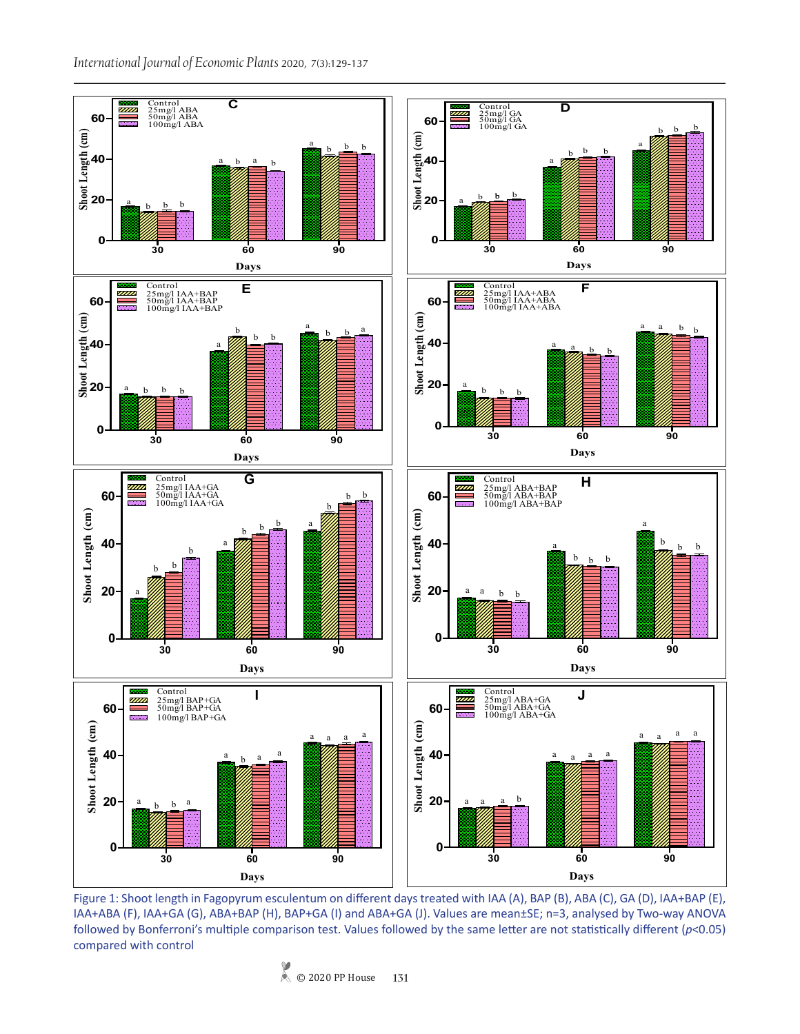

Figure 1: Shoot length in Fagopyrum esculentum on different days treated with IAA (A), BAP (B), ABA (C), GA (D), IAA+BAP (E), IAA+ABA (F), IAA+GA (G), ABA+BAP (H), BAP+GA (I) and ABA+GA (J). Values are mean±SE; n=3, analysed by Two-way ANOVA followed by Bonferroni's multiple comparison test. Values followed by the same letter are not statistically different (*p*<0.05) compared with control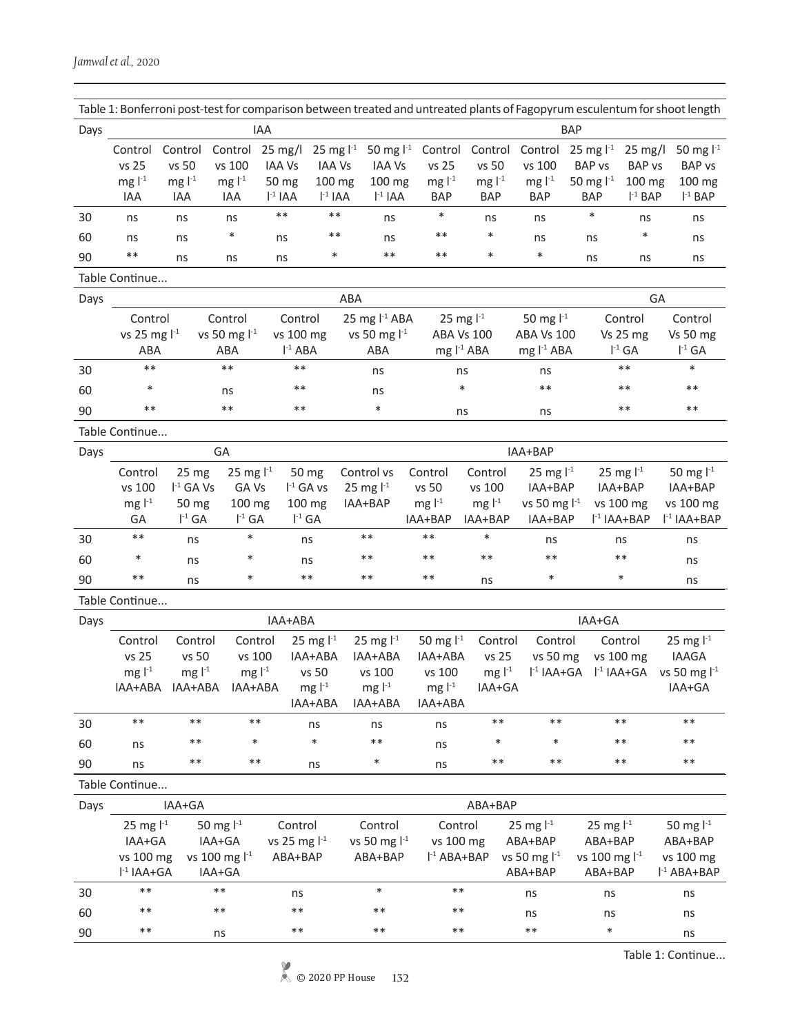|      |                                     |                                                                                                                                                                         |                                                          |                                                                      |                                                                              | Table 1: Bonferroni post-test for comparison between treated and untreated plants of Fagopyrum esculentum for shoot length |                                                                                                        |                                            |                                                                   |                                                                 |                                                                   |                                                            |  |  |
|------|-------------------------------------|-------------------------------------------------------------------------------------------------------------------------------------------------------------------------|----------------------------------------------------------|----------------------------------------------------------------------|------------------------------------------------------------------------------|----------------------------------------------------------------------------------------------------------------------------|--------------------------------------------------------------------------------------------------------|--------------------------------------------|-------------------------------------------------------------------|-----------------------------------------------------------------|-------------------------------------------------------------------|------------------------------------------------------------|--|--|
| Days |                                     |                                                                                                                                                                         |                                                          | <b>IAA</b>                                                           |                                                                              |                                                                                                                            |                                                                                                        | <b>BAP</b>                                 |                                                                   |                                                                 |                                                                   |                                                            |  |  |
|      | Control<br>vs 25<br>mg $l-1$<br>IAA | Control<br>vs 50<br>mg $l-1$<br>IAA                                                                                                                                     | Control<br>vs 100<br>mg $l-1$<br>IAA                     | $25 \text{ mg/l}$<br><b>IAA Vs</b><br>50 mg<br>$\mathsf{I}^{-1}$ IAA | 25 mg $1^{-1}$<br><b>IAA Vs</b><br>100 mg<br>$I-1 IAA$                       | 50 mg $1^{-1}$<br><b>IAA Vs</b><br>100 mg<br>$\mathsf{I}^{-1}$ IAA                                                         | Control<br>vs 25<br>mg $l-1$<br><b>BAP</b>                                                             | Control<br>vs 50<br>mg $l-1$<br><b>BAP</b> | Control<br>vs 100<br>mg $l-1$<br><b>BAP</b>                       | 25 mg $I^{-1}$<br><b>BAP vs</b><br>50 mg $1^{-1}$<br><b>BAP</b> | $25 \text{ mg/l}$<br><b>BAP</b> vs<br>100 mg<br>$I-1$ BAP         | 50 mg $1 - 1$<br><b>BAP</b> vs<br>100 mg<br>$l-1$ BAP      |  |  |
| 30   | ns                                  | ns                                                                                                                                                                      | ns                                                       | $***$                                                                | $***$                                                                        | ns                                                                                                                         | $\ast$                                                                                                 | ns                                         | ns                                                                | $\ast$                                                          | ns                                                                | ns                                                         |  |  |
| 60   | ns                                  | ns                                                                                                                                                                      | $\ast$                                                   | ns                                                                   | $***$                                                                        | ns                                                                                                                         | $***$                                                                                                  | $\ast$                                     | ns                                                                | ns                                                              | $\ast$                                                            | ns                                                         |  |  |
| 90   | $***$                               | ns                                                                                                                                                                      | ns                                                       | ns                                                                   | $\ast$                                                                       | $***$                                                                                                                      | $***$                                                                                                  | $\ast$                                     | $\ast$                                                            | ns                                                              | ns                                                                | ns                                                         |  |  |
|      | Table Continue                      |                                                                                                                                                                         |                                                          |                                                                      |                                                                              |                                                                                                                            |                                                                                                        |                                            |                                                                   |                                                                 |                                                                   |                                                            |  |  |
| Days |                                     |                                                                                                                                                                         |                                                          |                                                                      |                                                                              | ABA                                                                                                                        |                                                                                                        |                                            |                                                                   |                                                                 | GA                                                                |                                                            |  |  |
|      | ABA                                 | Control<br>Control<br>vs 25 mg l <sup>-1</sup><br>vs 50 mg $1-1$<br>ABA                                                                                                 |                                                          |                                                                      | Control<br>vs 100 mg<br>$I-1 ABA$                                            |                                                                                                                            | 25 mg $l-1$ ABA<br>25 mg $1-1$<br>vs 50 mg $1-1$<br><b>ABA Vs 100</b><br>ABA<br>mg $I^{-1}$ ABA        |                                            | 50 mg $1^{-1}$<br><b>ABA Vs 100</b><br>mg l <sup>-1</sup> ABA     |                                                                 | Control<br>Vs 25 mg<br>$I^{-1}$ GA                                | Control<br>Vs 50 mg<br>$I^{-1}$ GA                         |  |  |
| 30   | $***$                               |                                                                                                                                                                         | $***$                                                    | $***$                                                                |                                                                              | ns                                                                                                                         |                                                                                                        | ns                                         | ns                                                                |                                                                 | $***$                                                             | $\ast$                                                     |  |  |
| 60   | $\ast$                              |                                                                                                                                                                         | ns                                                       | $***$                                                                |                                                                              | ns                                                                                                                         |                                                                                                        | $\ast$                                     | $***$                                                             |                                                                 | $***$                                                             | $***$                                                      |  |  |
| 90   | $***$                               |                                                                                                                                                                         | $***$                                                    | $***$                                                                |                                                                              | $\ast$                                                                                                                     |                                                                                                        | ns                                         | ns                                                                |                                                                 | $***$                                                             | $***$                                                      |  |  |
|      | Table Continue                      |                                                                                                                                                                         |                                                          |                                                                      |                                                                              |                                                                                                                            |                                                                                                        |                                            |                                                                   |                                                                 |                                                                   |                                                            |  |  |
| Days |                                     |                                                                                                                                                                         | GA                                                       |                                                                      |                                                                              |                                                                                                                            |                                                                                                        |                                            | IAA+BAP                                                           |                                                                 |                                                                   |                                                            |  |  |
|      | Control<br>vs 100<br>mg $l-1$<br>GA | 25 mg<br>$I^{-1}$ GA Vs<br>50 mg<br>$I^{-1}$ GA                                                                                                                         | 25 mg $1-1$<br>GA Vs<br>100 mg<br>$I^{-1}$ GA            |                                                                      | 50 mg<br>$I^{-1}$ GA vs<br>100 mg<br>$I^{-1}$ GA                             | Control vs<br>25 mg $1-1$<br>IAA+BAP                                                                                       | Control<br>vs 50<br>mg $l-1$<br>IAA+BAP                                                                | Control<br>vs 100<br>mg $l-1$<br>IAA+BAP   | 25 mg $1^{-1}$<br>IAA+BAP<br>vs 50 mg $1-1$<br>IAA+BAP            |                                                                 | 25 mg $1-1$<br>IAA+BAP<br>vs 100 mg<br>$l-1$ IAA+BAP              | 50 mg $1^{-1}$<br>IAA+BAP<br>vs 100 mg<br>$l-1$ IAA+BAP    |  |  |
| 30   | $***$                               | ns                                                                                                                                                                      | $\ast$                                                   |                                                                      | ns                                                                           | $***$                                                                                                                      | $***$                                                                                                  | $\ast$                                     | ns                                                                |                                                                 | ns                                                                | ns                                                         |  |  |
| 60   | $\ast$                              | ns                                                                                                                                                                      | $\ast$                                                   |                                                                      | ns                                                                           | $***$                                                                                                                      | $***$                                                                                                  | $***$                                      | $***$                                                             |                                                                 | $***$                                                             | ns                                                         |  |  |
| 90   | $***$                               | ns                                                                                                                                                                      | $\ast$                                                   |                                                                      | $***$                                                                        | $***$                                                                                                                      | $***$                                                                                                  | ns                                         | $\ast$                                                            |                                                                 | $\ast$                                                            | ns                                                         |  |  |
|      | Table Continue                      |                                                                                                                                                                         |                                                          |                                                                      |                                                                              |                                                                                                                            |                                                                                                        |                                            |                                                                   |                                                                 |                                                                   |                                                            |  |  |
| Days |                                     |                                                                                                                                                                         |                                                          | IAA+ABA                                                              |                                                                              |                                                                                                                            |                                                                                                        |                                            |                                                                   | IAA+GA                                                          |                                                                   |                                                            |  |  |
|      | Control<br>vs 25<br>mg $l-1$        | Control<br>vs 50<br>mg $l-1$                                                                                                                                            | Control<br>vs 100<br>mg $l-1$<br>IAA+ABA IAA+ABA IAA+ABA |                                                                      | 25 mg $1^{-1}$<br>IAA+ABA<br>vs 50<br>mg $\mathsf{I}^{\text{-}1}$<br>IAA+ABA | 25 mg $1-1$<br>IAA+ABA<br>vs 100<br>mg $\mathsf{I}^{\text{-}1}$<br>IAA+ABA                                                 | 50 mg $1^{-1}$<br>IAA+ABA<br>vs 100<br>mg $\mathsf{I}^{\text{-}1}$<br>IAA+ABA                          | Control<br>vs 25<br>mg $l-1$<br>IAA+GA     | Control<br>vs 50 mg                                               | $\vert$ <sup>-1</sup> IAA+GA $\vert$ <sup>-1</sup> IAA+GA       | Control<br>vs 100 mg                                              | 25 mg $1^{-1}$<br><b>IAAGA</b><br>vs 50 mg $l-1$<br>IAA+GA |  |  |
| 30   | $***$                               | $***$                                                                                                                                                                   | $***$                                                    |                                                                      | ns                                                                           | ns                                                                                                                         | ns                                                                                                     | $***$                                      | $***$                                                             |                                                                 | $***$                                                             | $***$                                                      |  |  |
| 60   | ns                                  | $***$                                                                                                                                                                   | $\ast$                                                   |                                                                      | $\ast$                                                                       | $***$                                                                                                                      | ns                                                                                                     | *                                          | $\ast$                                                            |                                                                 | $***$                                                             | $***$                                                      |  |  |
| 90   | ns                                  | $***$                                                                                                                                                                   | $***$                                                    |                                                                      | ns                                                                           | $\ast$                                                                                                                     | ns                                                                                                     | $***$                                      | $***$                                                             |                                                                 | $***$                                                             | $***$                                                      |  |  |
|      | Table Continue                      |                                                                                                                                                                         |                                                          |                                                                      |                                                                              |                                                                                                                            |                                                                                                        |                                            |                                                                   |                                                                 |                                                                   |                                                            |  |  |
| Days |                                     | IAA+GA                                                                                                                                                                  |                                                          |                                                                      |                                                                              |                                                                                                                            |                                                                                                        | ABA+BAP                                    |                                                                   |                                                                 |                                                                   |                                                            |  |  |
|      |                                     | 25 mg $1^{-1}$<br>50 mg l <sup>-1</sup><br>Control<br>vs 25 mg $I-1$<br>IAA+GA<br>IAA+GA<br>vs 100 mg<br>vs 100 mg l <sup>-1</sup><br>ABA+BAP<br>$I-1 IAA+GA$<br>IAA+GA |                                                          |                                                                      | Control<br>vs 50 mg l <sup>-1</sup><br>ABA+BAP                               |                                                                                                                            | Control<br>25 mg $1-1$<br>vs 100 mg<br>ABA+BAP<br>vs 50 mg l <sup>-1</sup><br>$I-1 ABA+BAP$<br>ABA+BAP |                                            | 25 mg $1^{-1}$<br>ABA+BAP<br>vs 100 mg l <sup>-1</sup><br>ABA+BAP |                                                                 | 50 mg $1^{-1}$<br>ABA+BAP<br>vs 100 mg<br>l <sup>-1</sup> ABA+BAP |                                                            |  |  |
| 30   | $***$                               |                                                                                                                                                                         | $***$                                                    | ns                                                                   |                                                                              | $\ast$                                                                                                                     | $***$                                                                                                  |                                            | ns                                                                | ns                                                              |                                                                   | ns                                                         |  |  |
| 60   | $***$                               |                                                                                                                                                                         | $***$                                                    | $***$                                                                |                                                                              | $***$                                                                                                                      | $***$                                                                                                  |                                            | ns                                                                | ns                                                              |                                                                   | ns                                                         |  |  |
| 90   | $***$                               |                                                                                                                                                                         | ns                                                       | $***$                                                                |                                                                              | $***$                                                                                                                      | $***$                                                                                                  |                                            | $***$                                                             | $\ast$                                                          |                                                                   | ns                                                         |  |  |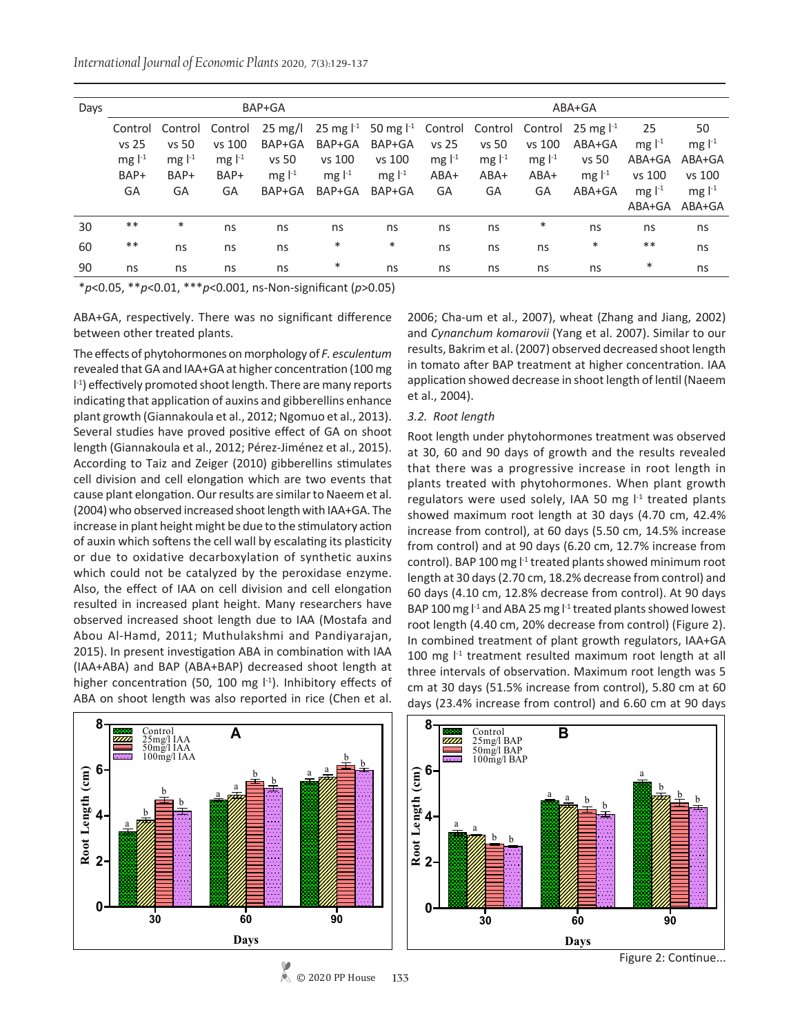*International Journal of Economic Plants* 2020, 7(3):129-137

| Days |            |          |                             | BAP+GA   |                                                                                                   | $ABA+GA$ |          |          |                 |          |                             |          |  |
|------|------------|----------|-----------------------------|----------|---------------------------------------------------------------------------------------------------|----------|----------|----------|-----------------|----------|-----------------------------|----------|--|
|      | Control    | Control  | Control                     |          | 25 mg/l 25 mg l <sup>-1</sup> 50 mg l <sup>-1</sup> Control Control Control 25 mg l <sup>-1</sup> |          |          |          |                 |          | 25                          | 50       |  |
|      | vs 25      | vs 50    | vs 100                      | BAP+GA   | BAP+GA                                                                                            | BAP+GA   | vs 25    | vs 50    | vs 100          | ABA+GA   | $mg ^{-1}$                  | mg $l-1$ |  |
|      | mg $l-1$   | mg $l-1$ | mg $\mathsf{I}^{\text{-1}}$ | vs 50    | vs 100                                                                                            | vs 100   | mg $l-1$ | mg $l-1$ | mg $\vert^{-1}$ | vs 50    | ABA+GA                      | ABA+GA   |  |
|      | BAP+       | BAP+     | BAP+                        | mg $l-1$ | mg $l-1$                                                                                          | mg $l-1$ | ABA+     | $ABA+$   | ABA+            | mg $l-1$ | vs 100                      | vs 100   |  |
|      | GA         | GA       | GA                          | BAP+GA   | BAP+GA                                                                                            | BAP+GA   | GA       | GA       | GA              | ABA+GA   | mg $\mathsf{I}^{\text{-1}}$ | mg $l-1$ |  |
|      |            |          |                             |          |                                                                                                   |          |          |          |                 |          | ABA+GA                      | ABA+GA   |  |
| 30   | $***$      | $\ast$   | ns                          | ns       | ns                                                                                                | ns       | ns       | ns       | $\ast$          | ns       | ns                          | ns       |  |
| 60   | $\ast\ast$ | ns       | ns                          | ns       | $\ast$                                                                                            | $\ast$   | ns       | ns       | ns              | $\ast$   | $***$                       | ns       |  |
| 90   | ns         | ns       | ns                          | ns       | $\ast$                                                                                            | ns       | ns       | ns       | ns              | ns       | $\ast$                      | ns       |  |

\**p*<0.05, \*\**p*<0.01, \*\*\**p*<0.001, ns-Non-significant (*p*>0.05)

ABA+GA, respectively. There was no significant difference between other treated plants.

The effects of phytohormones on morphology of *F. esculentum*  revealed that GA and IAA+GA at higher concentration (100 mg l -1) effectively promoted shoot length. There are many reports indicating that application of auxins and gibberellins enhance plant growth (Giannakoula et al., 2012; Ngomuo et al., 2013). Several studies have proved positive effect of GA on shoot length (Giannakoula et al., 2012; Pérez-Jiménez et al., 2015). According to Taiz and Zeiger (2010) gibberellins stimulates cell division and cell elongation which are two events that cause plant elongation. Our results are similar to Naeem et al. (2004) who observed increased shoot length with IAA+GA. The increase in plant height might be due to the stimulatory action of auxin which softens the cell wall by escalating its plasticity or due to oxidative decarboxylation of synthetic auxins which could not be catalyzed by the peroxidase enzyme. Also, the effect of IAA on cell division and cell elongation resulted in increased plant height. Many researchers have observed increased shoot length due to IAA (Mostafa and Abou Al-Hamd, 2011; Muthulakshmi and Pandiyarajan, 2015). In present investigation ABA in combination with IAA (IAA+ABA) and BAP (ABA+BAP) decreased shoot length at higher concentration (50, 100 mg  $\vert$ <sup>-1</sup>). Inhibitory effects of ABA on shoot length was also reported in rice (Chen et al.

2006; Cha-um et al., 2007), wheat (Zhang and Jiang, 2002) and *Cynanchum komarovii* (Yang et al. 2007). Similar to our results, Bakrim et al. (2007) observed decreased shoot length in tomato after BAP treatment at higher concentration. IAA application showed decrease in shoot length of lentil (Naeem et al., 2004).

#### *3.2. Root length*

Root length under phytohormones treatment was observed at 30, 60 and 90 days of growth and the results revealed that there was a progressive increase in root length in plants treated with phytohormones. When plant growth regulators were used solely, IAA 50 mg  $I<sup>1</sup>$  treated plants showed maximum root length at 30 days (4.70 cm, 42.4% increase from control), at 60 days (5.50 cm, 14.5% increase from control) and at 90 days (6.20 cm, 12.7% increase from control). BAP 100 mg l<sup>-1</sup> treated plants showed minimum root length at 30 days (2.70 cm, 18.2% decrease from control) and 60 days (4.10 cm, 12.8% decrease from control). At 90 days BAP 100 mg  $I<sup>-1</sup>$  and ABA 25 mg  $I<sup>-1</sup>$  treated plants showed lowest root length (4.40 cm, 20% decrease from control) (Figure 2). In combined treatment of plant growth regulators, IAA+GA 100 mg  $l<sup>-1</sup>$  treatment resulted maximum root length at all three intervals of observation. Maximum root length was 5 cm at 30 days (51.5% increase from control), 5.80 cm at 60 days (23.4% increase from control) and 6.60 cm at 90 days



Figure 2: Continue...

b

a

 $\frac{b}{b}$  b

<sup>© 2020</sup> PP House **133**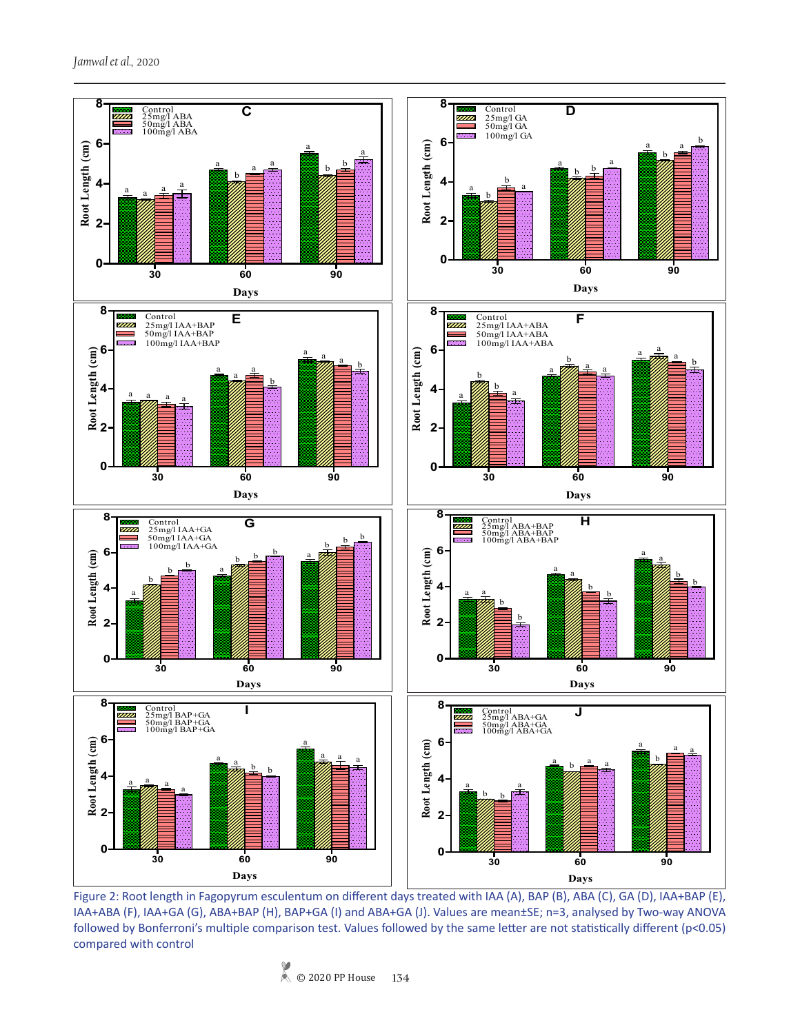

Figure 2: Root length in Fagopyrum esculentum on different days treated with IAA (A), BAP (B), ABA (C), GA (D), IAA+BAP (E), IAA+ABA (F), IAA+GA (G), ABA+BAP (H), BAP+GA (I) and ABA+GA (J). Values are mean±SE; n=3, analysed by Two-way ANOVA followed by Bonferroni's multiple comparison test. Values followed by the same letter are not statistically different (p<0.05) compared with control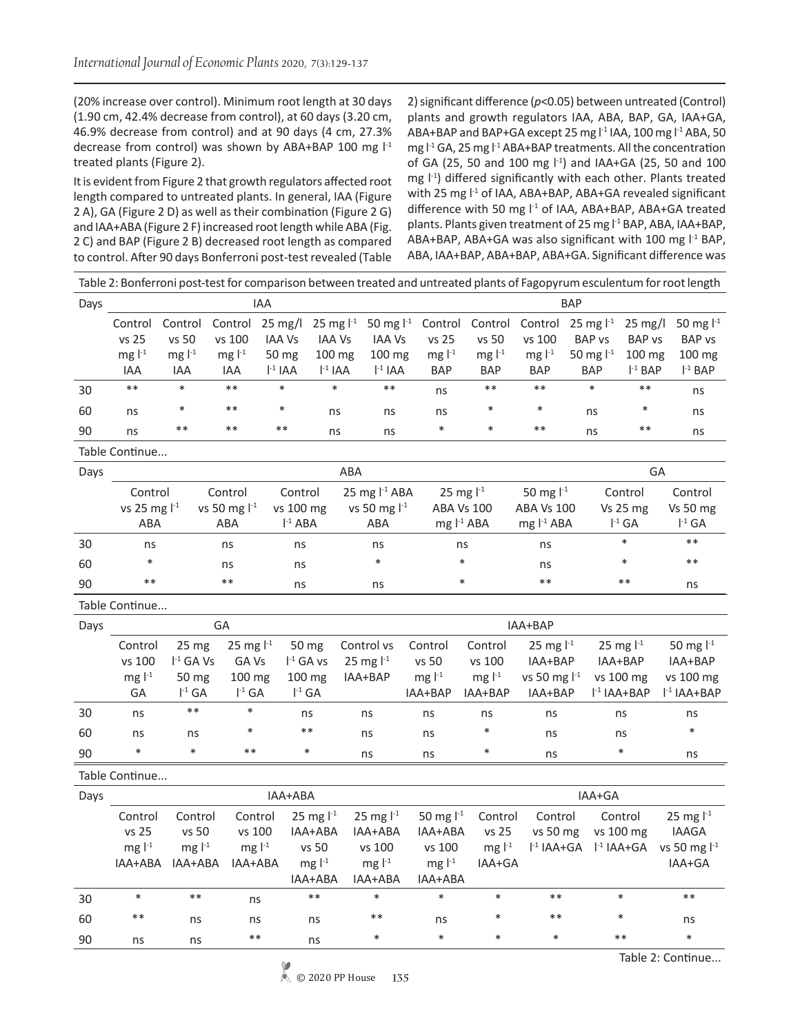(20% increase over control). Minimum root length at 30 days (1.90 cm, 42.4% decrease from control), at 60 days (3.20 cm, 46.9% decrease from control) and at 90 days (4 cm, 27.3% decrease from control) was shown by ABA+BAP 100 mg  $I<sup>-1</sup>$ treated plants (Figure 2).

It is evident from Figure 2 that growth regulators affected root length compared to untreated plants. In general, IAA (Figure 2 A), GA (Figure 2 D) as well as their combination (Figure 2 G) and IAA+ABA (Figure 2 F) increased root length while ABA (Fig. 2 C) and BAP (Figure 2 B) decreased root length as compared to control. After 90 days Bonferroni post-test revealed (Table 2) significant difference (*p*<0.05) between untreated (Control) plants and growth regulators IAA, ABA, BAP, GA, IAA+GA, ABA+BAP and BAP+GA except 25 mg l<sup>-1</sup> IAA, 100 mg l<sup>-1</sup> ABA, 50 mg  $l<sup>-1</sup>$  GA, 25 mg  $l<sup>-1</sup>$  ABA+BAP treatments. All the concentration of GA (25, 50 and 100 mg  $1<sup>-1</sup>$ ) and IAA+GA (25, 50 and 100 mg  $\vert$ <sup>-1</sup>) differed significantly with each other. Plants treated with 25 mg  $l<sup>-1</sup>$  of IAA, ABA+BAP, ABA+GA revealed significant difference with 50 mg l<sup>-1</sup> of IAA, ABA+BAP, ABA+GA treated plants. Plants given treatment of 25 mg l<sup>-1</sup> BAP, ABA, IAA+BAP, ABA+BAP, ABA+GA was also significant with 100 mg l<sup>-1</sup> BAP, ABA, IAA+BAP, ABA+BAP, ABA+GA. Significant difference was

|                | Table 2: Bonferroni post-test for comparison between treated and untreated plants of Fagopyrum esculentum for root length |                                                                            |                                                  |                                                           |                                                                                                                                              |                                                            |                                                               |                                                                                           |                                                               |                                                                     |                                                                      |  |
|----------------|---------------------------------------------------------------------------------------------------------------------------|----------------------------------------------------------------------------|--------------------------------------------------|-----------------------------------------------------------|----------------------------------------------------------------------------------------------------------------------------------------------|------------------------------------------------------------|---------------------------------------------------------------|-------------------------------------------------------------------------------------------|---------------------------------------------------------------|---------------------------------------------------------------------|----------------------------------------------------------------------|--|
| Days           | <b>IAA</b><br><b>BAP</b>                                                                                                  |                                                                            |                                                  |                                                           |                                                                                                                                              |                                                            |                                                               |                                                                                           |                                                               |                                                                     |                                                                      |  |
|                | Control<br>vs 25<br>mg $l-1$<br>IAA                                                                                       | Control<br>vs 50<br>mg $l-1$<br>IAA                                        | Control<br>vs 100<br>mg $l-1$<br>IAA             | 25 mg/l<br><b>IAA Vs</b><br>50 mg<br>$I-1 IAA$            | 50 mg $I^{-1}$<br>25 mg $1^{-1}$<br><b>IAA Vs</b><br><b>IAA Vs</b><br>100 mg<br>100 mg<br>$\vert$ <sup>-1</sup> IAA<br>$\mathsf{I}^{-1}$ IAA | Control<br>vs 25<br>mg $l-1$<br><b>BAP</b>                 | vs 50<br>mg $l-1$<br><b>BAP</b>                               | Control Control 25 mg l <sup>-1</sup><br>vs 100<br>mg $\vert$ <sup>-1</sup><br><b>BAP</b> | <b>BAP</b> vs<br>50 mg l <sup>-1</sup><br><b>BAP</b>          | $25 \text{ mg/l}$<br><b>BAP vs</b><br>$100 \text{ mg}$<br>$l-1$ BAP | 50 mg l <sup>-1</sup><br><b>BAP vs</b><br>100 mg<br>$I-1$ BAP        |  |
| 30             | $***$                                                                                                                     | $\ast$                                                                     | $***$                                            | $\ast$                                                    | $\ast$<br>$***$                                                                                                                              | ns                                                         | $***$                                                         | $**$                                                                                      | $\ast$                                                        | $***$                                                               | ns                                                                   |  |
| 60             | ns                                                                                                                        | $\ast$                                                                     | $**$                                             | $\ast$                                                    | ns<br>ns                                                                                                                                     | ns                                                         |                                                               | $\ast$                                                                                    | ns                                                            | $\ast$                                                              | ns                                                                   |  |
| 90             | ns                                                                                                                        | $***$                                                                      | $**$                                             | $***$                                                     | ns<br>ns                                                                                                                                     | $\ast$                                                     | $\ast$                                                        | $***$                                                                                     | ns                                                            | $***$                                                               | ns                                                                   |  |
| Table Continue |                                                                                                                           |                                                                            |                                                  |                                                           |                                                                                                                                              |                                                            |                                                               |                                                                                           |                                                               |                                                                     |                                                                      |  |
| Days           | ABA<br>GA                                                                                                                 |                                                                            |                                                  |                                                           |                                                                                                                                              |                                                            |                                                               |                                                                                           |                                                               |                                                                     |                                                                      |  |
|                | ABA                                                                                                                       | Control<br>Control<br>vs 25 mg $1^{-1}$<br>vs 50 mg l <sup>-1</sup><br>ABA |                                                  | Control<br>vs 100 mg<br>$I-1 ABA$                         | 25 mg $I-1$ ABA<br>vs 50 mg l <sup>-1</sup><br>ABA                                                                                           |                                                            | 25 mg $1^{-1}$<br><b>ABA Vs 100</b><br>mg l <sup>-1</sup> ABA |                                                                                           | 50 mg $1^{-1}$<br><b>ABA Vs 100</b><br>mg l <sup>-1</sup> ABA | Control<br>Vs 25 mg<br>$I^{-1}$ GA                                  | Control<br>Vs 50 mg<br>$I^{-1}$ GA                                   |  |
| 30             | ns                                                                                                                        |                                                                            | ns                                               | ns                                                        | ns                                                                                                                                           |                                                            | ns                                                            | ns                                                                                        |                                                               | $\ast$                                                              | $***$                                                                |  |
| 60             | $\ast$                                                                                                                    | ns<br>ns                                                                   |                                                  |                                                           | $\ast$                                                                                                                                       |                                                            | $\ast$                                                        |                                                                                           |                                                               | $\ast$                                                              | $***$                                                                |  |
| 90             | $***$                                                                                                                     | $***$<br>ns                                                                |                                                  | ns                                                        | $\ast$                                                                                                                                       |                                                            | $***$                                                         |                                                                                           | $***$                                                         | ns                                                                  |                                                                      |  |
|                | Table Continue                                                                                                            |                                                                            |                                                  |                                                           |                                                                                                                                              |                                                            |                                                               |                                                                                           |                                                               |                                                                     |                                                                      |  |
| Days           |                                                                                                                           |                                                                            | GA                                               |                                                           | IAA+BAP                                                                                                                                      |                                                            |                                                               |                                                                                           |                                                               |                                                                     |                                                                      |  |
|                | Control<br>vs 100<br>mg $l^{-1}$<br>GA                                                                                    | 25 <sub>mg</sub><br>$I^{-1}$ GA Vs<br>50 mg<br>$I^{-1}$ GA                 | 25 mg $1^{-1}$<br>GA Vs<br>100 mg<br>$I^{-1}$ GA | 50 mg<br>$I^{-1}$ GA vs<br>100 mg<br>$I^{-1}$ GA          | Control vs<br>25 mg $1^{-1}$<br>IAA+BAP                                                                                                      | Control<br>vs 50<br>mg $l-1$<br>IAA+BAP                    | Control<br>vs 100<br>mg $l^{-1}$<br>IAA+BAP                   | 25 mg $1^{-1}$<br>IAA+BAP<br>vs 50 mg $l-1$<br>IAA+BAP                                    |                                                               | 25 mg $I^{-1}$<br>IAA+BAP<br>vs 100 mg<br>$I-1$ IAA+BAP             | 50 mg $1^{-1}$<br>IAA+BAP<br>vs 100 mg<br>$\mathsf{I}^{-1}$ IAA+BAP  |  |
| 30             | ns                                                                                                                        | $***$                                                                      | $\ast$                                           | ns                                                        | ns                                                                                                                                           | ns                                                         | ns                                                            | ns                                                                                        |                                                               | ns                                                                  | ns                                                                   |  |
| 60             | ns                                                                                                                        | ns                                                                         | $\ast$                                           | $***$                                                     | ns                                                                                                                                           | ns                                                         | $\ast$                                                        | ns                                                                                        |                                                               | ns                                                                  | $\ast$                                                               |  |
| 90             | $\ast$                                                                                                                    | $\ast$                                                                     | $***$                                            | $\ast$                                                    | ns                                                                                                                                           | ns                                                         | $\ast$                                                        | ns                                                                                        |                                                               | $\ast$                                                              | ns                                                                   |  |
|                | Table Continue                                                                                                            |                                                                            |                                                  |                                                           |                                                                                                                                              |                                                            |                                                               |                                                                                           |                                                               |                                                                     |                                                                      |  |
| Days           |                                                                                                                           |                                                                            |                                                  | IAA+ABA                                                   |                                                                                                                                              |                                                            |                                                               |                                                                                           | IAA+GA                                                        |                                                                     |                                                                      |  |
|                | Control<br>vs 25<br>mg $l^{-1}$                                                                                           | Control<br>vs 50<br>mg $l-1$<br>IAA+ABA IAA+ABA                            | Control<br>vs 100<br>mg $l-1$<br>IAA+ABA         | 25 mg $1^{-1}$<br>IAA+ABA<br>vs 50<br>mg $l-1$<br>IAA+ABA | 25 mg $1^{-1}$<br>IAA+ABA<br>vs 100<br>mg $l-1$<br>IAA+ABA                                                                                   | 50 mg $1^{-1}$<br>IAA+ABA<br>vs 100<br>mg $l-1$<br>IAA+ABA | Control<br>vs 25<br>mg $l-1$<br>IAA+GA                        | Control<br>vs 50 mg<br>$l-1$ IAA+GA                                                       |                                                               | Control<br>vs 100 mg<br>$I-1 IAA+GA$                                | 25 mg $1^{-1}$<br><b>IAAGA</b><br>vs 50 mg l <sup>-1</sup><br>IAA+GA |  |
| 30             | $\ast$                                                                                                                    | $***$                                                                      | ns                                               | $***$                                                     | $\ast$                                                                                                                                       | $\ast$                                                     | $\ast$                                                        | $***$                                                                                     |                                                               | $\ast$                                                              | $***$                                                                |  |
|                |                                                                                                                           | $***$                                                                      |                                                  |                                                           |                                                                                                                                              |                                                            |                                                               |                                                                                           |                                                               |                                                                     |                                                                      |  |
| 60             |                                                                                                                           | ns                                                                         | ns                                               | ns                                                        | $***$                                                                                                                                        | ns                                                         |                                                               | $***$                                                                                     |                                                               |                                                                     | ns                                                                   |  |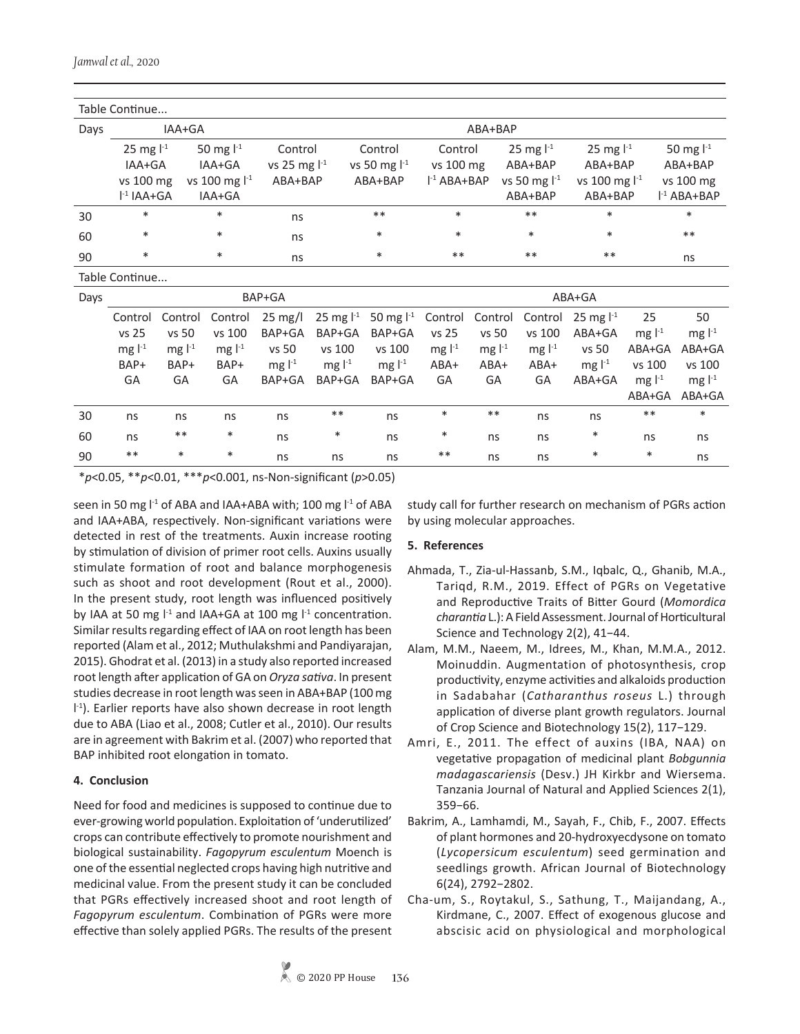| Table Continue |                            |              |                    |                   |            |                |               |             |                      |                    |             |                      |  |
|----------------|----------------------------|--------------|--------------------|-------------------|------------|----------------|---------------|-------------|----------------------|--------------------|-------------|----------------------|--|
| Days           |                            | IAA+GA       |                    |                   |            |                |               | ABA+BAP     |                      |                    |             |                      |  |
|                | 50 mg $l-1$<br>25 mg $1^1$ |              | Control            |                   | Control    | Control        |               | 25 mg $l-1$ | 25 mg $1^{-1}$       |                    | 50 mg $l-1$ |                      |  |
|                | IAA+GA                     |              | IAA+GA             | vs 25 mg $1-1$    |            | vs 50 mg $1-1$ | vs 100 mg     |             | ABA+BAP              | ABA+BAP            |             | ABA+BAP              |  |
|                | vs 100 mg                  |              | vs 100 mg $1^{-1}$ | ABA+BAP           |            | ABA+BAP        | $l-1 ABA+BAP$ |             | vs 50 mg $1-1$       | vs 100 mg $1^{-1}$ |             | vs 100 mg            |  |
|                | $l-1 IAA+GA$               |              | IAA+GA             |                   |            |                |               |             | ABA+BAP              | ABA+BAP            |             | $I-1 ABA+BAP$        |  |
| 30             | $\ast$                     |              | $\ast$             | ns                |            | $***$          | $\ast$        |             | $***$                | $\ast$             |             | $\ast$               |  |
| 60             | $\ast$                     |              | $\ast$             | ns                |            | $\ast$         | $\ast$        |             | $\ast$               | $\ast$             | $***$       |                      |  |
| 90             | $\ast$                     | $\ast$<br>ns |                    |                   | $\ast$     | $***$          |               | $***$       | $***$                |                    | ns          |                      |  |
|                | Table Continue             |              |                    |                   |            |                |               |             |                      |                    |             |                      |  |
| Days           |                            |              |                    | BAP+GA            |            |                | ABA+GA        |             |                      |                    |             |                      |  |
|                | Control                    | Control      | Control            | $25 \text{ mg/l}$ | 25 mg $11$ | 50 mg $I^{-1}$ | Control       | Control     | Control              | 25 mg $1-1$        | 25          | 50                   |  |
|                | vs 25                      | vs 50        | vs 100             | BAP+GA            | BAP+GA     | BAP+GA         | vs 25         | vs 50       | vs 100               | ABA+GA             | mg $l-1$    | mg $l-1$             |  |
|                | mg $l-1$                   | $mgl^{-1}$   | mg $l-1$           | vs 50             | vs 100     | vs 100         | $mg ^{-1}$    | mg $l-1$    | mg $\mathsf{I}^{-1}$ | vs 50              | ABA+GA      | ABA+GA               |  |
|                | BAP+                       | BAP+         | BAP+               | mg $l-1$          | mg $l-1$   | mg $l-1$       | ABA+          | $ABA+$      | $ABA+$               | mg $l-1$           | vs 100      | vs 100               |  |
|                | GA                         | GA           | GA                 | BAP+GA            | BAP+GA     | BAP+GA         | GA            | GA          | GA                   | ABA+GA             | mg $l-1$    | mg $\mathsf{I}^{-1}$ |  |
|                |                            |              |                    |                   |            |                |               |             |                      |                    | ABA+GA      | ABA+GA               |  |
| 30             | ns                         | ns           | ns                 | ns                | $***$      | ns             | $\ast$        | $***$       | ns                   | ns                 | $***$       | $\ast$               |  |
| 60             | ns                         | $***$        | $\ast$             | ns                | $\ast$     | ns             | $\ast$        | ns          | ns                   | $\ast$             | ns          | ns                   |  |
| 90             | $***$                      | $\ast$       | $\ast$             | ns                | ns         | ns             | $***$         | ns          | ns                   | $\ast$             | $\ast$      | ns                   |  |

\**p*<0.05, \*\**p*<0.01, \*\*\**p*<0.001, ns-Non-significant (*p*>0.05)

seen in 50 mg  $I<sup>-1</sup>$  of ABA and IAA+ABA with; 100 mg  $I<sup>-1</sup>$  of ABA and IAA+ABA, respectively. Non-significant variations were detected in rest of the treatments. Auxin increase rooting by stimulation of division of primer root cells. Auxins usually stimulate formation of root and balance morphogenesis such as shoot and root development (Rout et al., 2000). In the present study, root length was influenced positively by IAA at 50 mg  $I<sup>-1</sup>$  and IAA+GA at 100 mg  $I<sup>-1</sup>$  concentration. Similar results regarding effect of IAA on root length has been reported (Alam et al., 2012; Muthulakshmi and Pandiyarajan, 2015). Ghodrat et al. (2013) in a study also reported increased root length after application of GA on *Oryza sativa*. In present studies decrease in root length was seen in ABA+BAP (100 mg I<sup>-1</sup>). Earlier reports have also shown decrease in root length due to ABA (Liao et al., 2008; Cutler et al., 2010). Our results are in agreement with Bakrim et al. (2007) who reported that BAP inhibited root elongation in tomato.

# **4. Conclusion**

Need for food and medicines is supposed to continue due to ever-growing world population. Exploitation of 'underutilized' crops can contribute effectively to promote nourishment and biological sustainability. *Fagopyrum esculentum* Moench is one of the essential neglected crops having high nutritive and medicinal value. From the present study it can be concluded that PGRs effectively increased shoot and root length of *Fagopyrum esculentum*. Combination of PGRs were more effective than solely applied PGRs. The results of the present study call for further research on mechanism of PGRs action by using molecular approaches.

# **5. References**

- Ahmada, T., Zia-ul-Hassanb, S.M., Iqbalc, Q., Ghanib, M.A., Tariqd, R.M., 2019. Effect of PGRs on Vegetative and Reproductive Traits of Bitter Gourd (*Momordica charantia* L.): A Field Assessment.Journal of Horticultural Science and Technology 2(2), 41−44.
- Alam, M.M., Naeem, M., Idrees, M., Khan, M.M.A., 2012. Moinuddin. Augmentation of photosynthesis, crop productivity, enzyme activities and alkaloids production in Sadabahar (*Catharanthus roseus* L.) through application of diverse plant growth regulators. Journal of Crop Science and Biotechnology 15(2), 117−129.
- Amri, E., 2011. The effect of auxins (IBA, NAA) on vegetative propagation of medicinal plant *Bobgunnia madagascariensis* (Desv.) JH Kirkbr and Wiersema. Tanzania Journal of Natural and Applied Sciences 2(1), 359−66.
- Bakrim, A., Lamhamdi, M., Sayah, F., Chib, F., 2007. Effects of plant hormones and 20-hydroxyecdysone on tomato (*Lycopersicum esculentum*) seed germination and seedlings growth. African Journal of Biotechnology 6(24), 2792−2802.
- Cha-um, S., Roytakul, S., Sathung, T., Maijandang, A., Kirdmane, C., 2007. Effect of exogenous glucose and abscisic acid on physiological and morphological